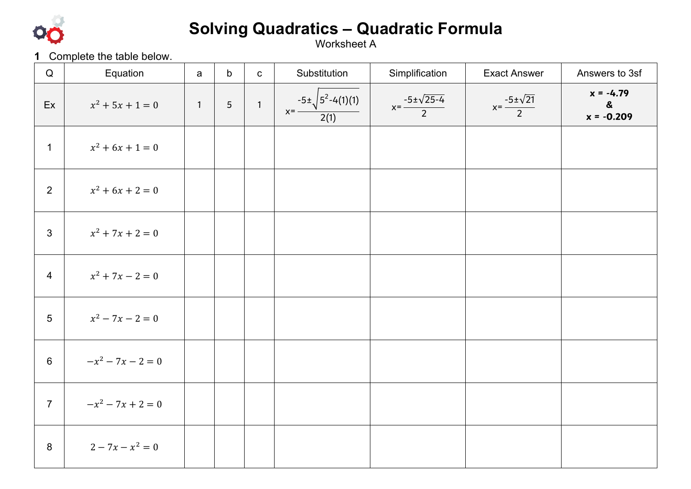

## **Solving Quadratics - Quadratic Formula**

Worksheet A

## 1 Complete the table below.

| $\mathsf Q$     | Equation            | $\mathsf{a}$   | $\mathsf b$ | $\mathbf C$  | Substitution                                           | Simplification                       | <b>Exact Answer</b>          | Answers to 3sf                                            |
|-----------------|---------------------|----------------|-------------|--------------|--------------------------------------------------------|--------------------------------------|------------------------------|-----------------------------------------------------------|
| Ex              | $x^2 + 5x + 1 = 0$  | $\overline{1}$ | 5           | $\mathbf{1}$ | $x = \frac{-5 \pm \sqrt{5^2 - 4(1)(1)}}{2(1)}$<br>2(1) | $x = \frac{-5 \pm \sqrt{25 - 4}}{2}$ | $x=\frac{-5\pm\sqrt{21}}{2}$ | $x = -4.79$<br>$\boldsymbol{\mathcal{S}}$<br>$x = -0.209$ |
| $\mathbf{1}$    | $x^2 + 6x + 1 = 0$  |                |             |              |                                                        |                                      |                              |                                                           |
| $\overline{2}$  | $x^2 + 6x + 2 = 0$  |                |             |              |                                                        |                                      |                              |                                                           |
| $\mathbf{3}$    | $x^2 + 7x + 2 = 0$  |                |             |              |                                                        |                                      |                              |                                                           |
| $\overline{4}$  | $x^2 + 7x - 2 = 0$  |                |             |              |                                                        |                                      |                              |                                                           |
| $5\phantom{.0}$ | $x^2 - 7x - 2 = 0$  |                |             |              |                                                        |                                      |                              |                                                           |
| $6\phantom{1}$  | $-x^2 - 7x - 2 = 0$ |                |             |              |                                                        |                                      |                              |                                                           |
| $\overline{7}$  | $-x^2 - 7x + 2 = 0$ |                |             |              |                                                        |                                      |                              |                                                           |
| 8               | $2 - 7x - x^2 = 0$  |                |             |              |                                                        |                                      |                              |                                                           |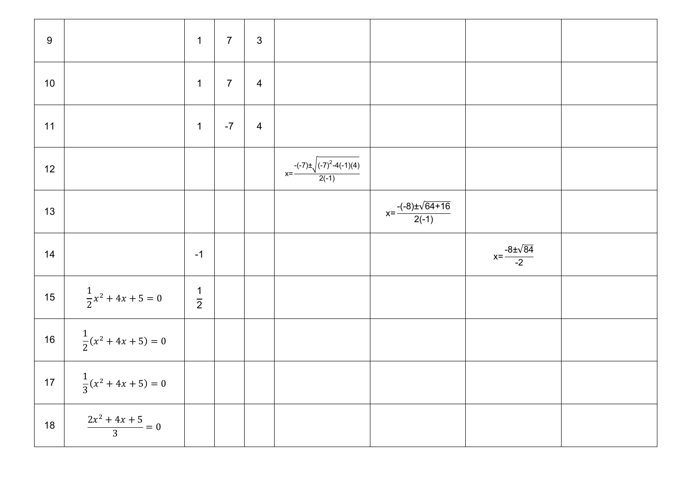| $9\,$ |                               | $\mathbf{1}$  | $\overline{7}$ | $\mathbf{3}$   |                                                  |                                        |                               |  |
|-------|-------------------------------|---------------|----------------|----------------|--------------------------------------------------|----------------------------------------|-------------------------------|--|
| $10$  |                               | $\mathbf{1}$  | $\overline{7}$ | $\overline{4}$ |                                                  |                                        |                               |  |
| 11    |                               | $\mathbf{1}$  | $-7$           | $\overline{4}$ |                                                  |                                        |                               |  |
| 12    |                               |               |                |                | $x=\frac{-(-7)\pm\sqrt{(-7)^2-4(-1)(4)}}{2(-1)}$ |                                        |                               |  |
| 13    |                               |               |                |                |                                                  | $x=\frac{-(-8)\pm\sqrt{64+16}}{2(-1)}$ |                               |  |
| 14    |                               | $-1$          |                |                |                                                  |                                        | $x=\frac{-8\pm\sqrt{84}}{-2}$ |  |
| 15    | $\frac{1}{2}x^2 + 4x + 5 = 0$ | $\frac{1}{2}$ |                |                |                                                  |                                        |                               |  |
| 16    | $\frac{1}{2}(x^2+4x+5)=0$     |               |                |                |                                                  |                                        |                               |  |
| $17$  | $\frac{1}{3}(x^2+4x+5)=0$     |               |                |                |                                                  |                                        |                               |  |
| 18    | $\frac{2x^2+4x+5}{3}=0$       |               |                |                |                                                  |                                        |                               |  |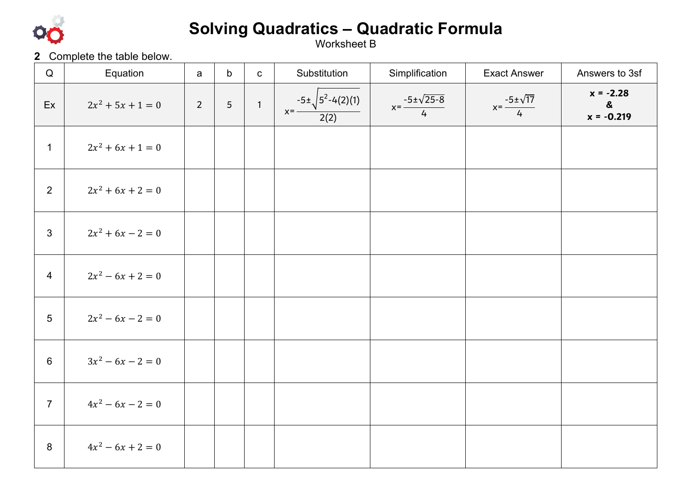

## **Solving Quadratics - Quadratic Formula**<br>Worksheet B

## 2 Complete the table below.

| Q               | Equation            | a           | $\mathsf b$ | $\mathbf{C}$                           | Substitution                                 | Simplification                       | <b>Exact Answer</b>              | Answers to 3sf                                   |
|-----------------|---------------------|-------------|-------------|----------------------------------------|----------------------------------------------|--------------------------------------|----------------------------------|--------------------------------------------------|
| Ex              | $2x^2 + 5x + 1 = 0$ | $2^{\circ}$ | 5           | $\left\langle \mathbf{1}\right\rangle$ | $-5\pm\sqrt{5^2-4(2)(1)}$<br>$x = -$<br>2(2) | $x = \frac{-5 \pm \sqrt{25 - 8}}{4}$ | $x = \frac{-5 \pm \sqrt{17}}{4}$ | $x = -2.28$<br>$\boldsymbol{\&}$<br>$x = -0.219$ |
| $\mathbf{1}$    | $2x^2 + 6x + 1 = 0$ |             |             |                                        |                                              |                                      |                                  |                                                  |
| $\overline{2}$  | $2x^2 + 6x + 2 = 0$ |             |             |                                        |                                              |                                      |                                  |                                                  |
| $\mathbf{3}$    | $2x^2 + 6x - 2 = 0$ |             |             |                                        |                                              |                                      |                                  |                                                  |
| $\overline{4}$  | $2x^2 - 6x + 2 = 0$ |             |             |                                        |                                              |                                      |                                  |                                                  |
| $5\overline{)}$ | $2x^2 - 6x - 2 = 0$ |             |             |                                        |                                              |                                      |                                  |                                                  |
| $6\phantom{1}$  | $3x^2 - 6x - 2 = 0$ |             |             |                                        |                                              |                                      |                                  |                                                  |
| $\overline{7}$  | $4x^2 - 6x - 2 = 0$ |             |             |                                        |                                              |                                      |                                  |                                                  |
| 8               | $4x^2 - 6x + 2 = 0$ |             |             |                                        |                                              |                                      |                                  |                                                  |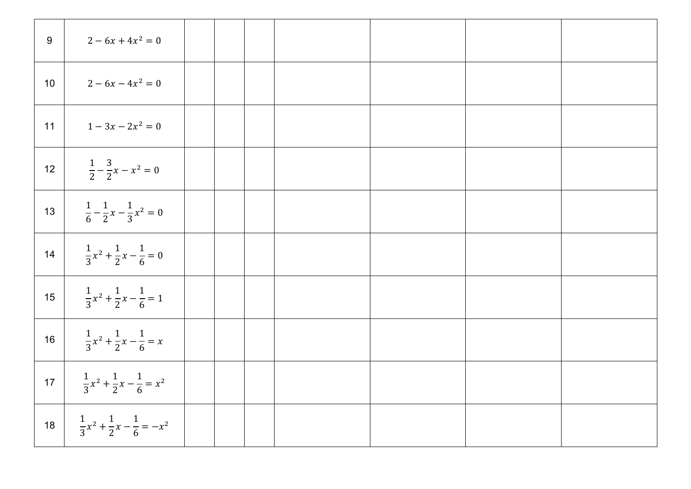| 9  | $2 - 6x + 4x^2 = 0$                                     |  |  |  |  |
|----|---------------------------------------------------------|--|--|--|--|
| 10 | $2 - 6x - 4x^2 = 0$                                     |  |  |  |  |
| 11 | $1 - 3x - 2x^2 = 0$                                     |  |  |  |  |
| 12 | $\frac{1}{2} - \frac{3}{2}x - x^2 = 0$                  |  |  |  |  |
| 13 | $\frac{1}{6} - \frac{1}{2}x - \frac{1}{3}x^2 = 0$       |  |  |  |  |
| 14 | $\frac{1}{3}x^2 + \frac{1}{2}x - \frac{1}{6} = 0$       |  |  |  |  |
| 15 | $\frac{1}{3}x^2 + \frac{1}{2}x - \frac{1}{6} = 1$       |  |  |  |  |
| 16 | $\frac{1}{3}x^2 + \frac{1}{2}x - \frac{1}{6} = x$       |  |  |  |  |
|    | 17 $\frac{1}{3}x^2 + \frac{1}{2}x - \frac{1}{6} = x^2$  |  |  |  |  |
|    | 18 $\frac{1}{3}x^2 + \frac{1}{2}x - \frac{1}{6} = -x^2$ |  |  |  |  |